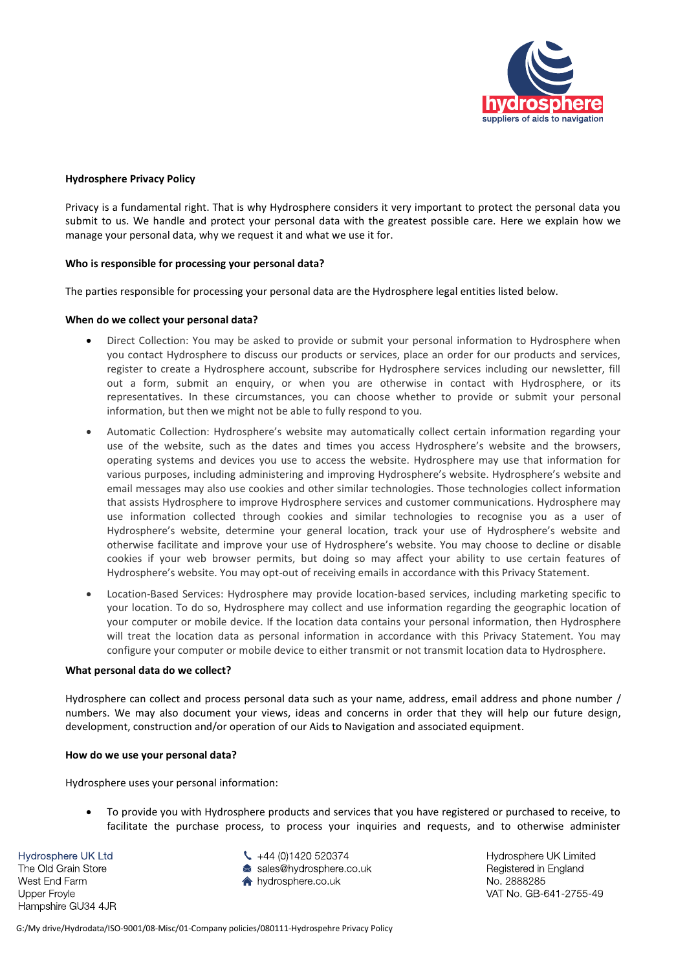

# **Hydrosphere Privacy Policy**

Privacy is a fundamental right. That is why Hydrosphere considers it very important to protect the personal data you submit to us. We handle and protect your personal data with the greatest possible care. Here we explain how we manage your personal data, why we request it and what we use it for.

# **Who is responsible for processing your personal data?**

The parties responsible for processing your personal data are the Hydrosphere legal entities listed below.

#### **When do we collect your personal data?**

- Direct Collection: You may be asked to provide or submit your personal information to Hydrosphere when you contact Hydrosphere to discuss our products or services, place an order for our products and services, register to create a Hydrosphere account, subscribe for Hydrosphere services including our newsletter, fill out a form, submit an enquiry, or when you are otherwise in contact with Hydrosphere, or its representatives. In these circumstances, you can choose whether to provide or submit your personal information, but then we might not be able to fully respond to you.
- Automatic Collection: Hydrosphere's website may automatically collect certain information regarding your use of the website, such as the dates and times you access Hydrosphere's website and the browsers, operating systems and devices you use to access the website. Hydrosphere may use that information for various purposes, including administering and improving Hydrosphere's website. Hydrosphere's website and email messages may also use cookies and other similar technologies. Those technologies collect information that assists Hydrosphere to improve Hydrosphere services and customer communications. Hydrosphere may use information collected through cookies and similar technologies to recognise you as a user of Hydrosphere's website, determine your general location, track your use of Hydrosphere's website and otherwise facilitate and improve your use of Hydrosphere's website. You may choose to decline or disable cookies if your web browser permits, but doing so may affect your ability to use certain features of Hydrosphere's website. You may opt-out of receiving emails in accordance with this Privacy Statement.
- Location-Based Services: Hydrosphere may provide location-based services, including marketing specific to your location. To do so, Hydrosphere may collect and use information regarding the geographic location of your computer or mobile device. If the location data contains your personal information, then Hydrosphere will treat the location data as personal information in accordance with this Privacy Statement. You may configure your computer or mobile device to either transmit or not transmit location data to Hydrosphere.

#### **What personal data do we collect?**

Hydrosphere can collect and process personal data such as your name, address, email address and phone number / numbers. We may also document your views, ideas and concerns in order that they will help our future design, development, construction and/or operation of our Aids to Navigation and associated equipment.

#### **How do we use your personal data?**

Hydrosphere uses your personal information:

• To provide you with Hydrosphere products and services that you have registered or purchased to receive, to facilitate the purchase process, to process your inquiries and requests, and to otherwise administer

Hydrosphere UK Ltd The Old Grain Store West End Farm Upper Froyle Hampshire GU34 4JR

- $\leftarrow +44(0)1420520374$ sales@hydrosphere.co.uk
- ★ hydrosphere co uk

Hydrosphere UK Limited Registered in England No. 2888285 VAT No. GB-641-2755-49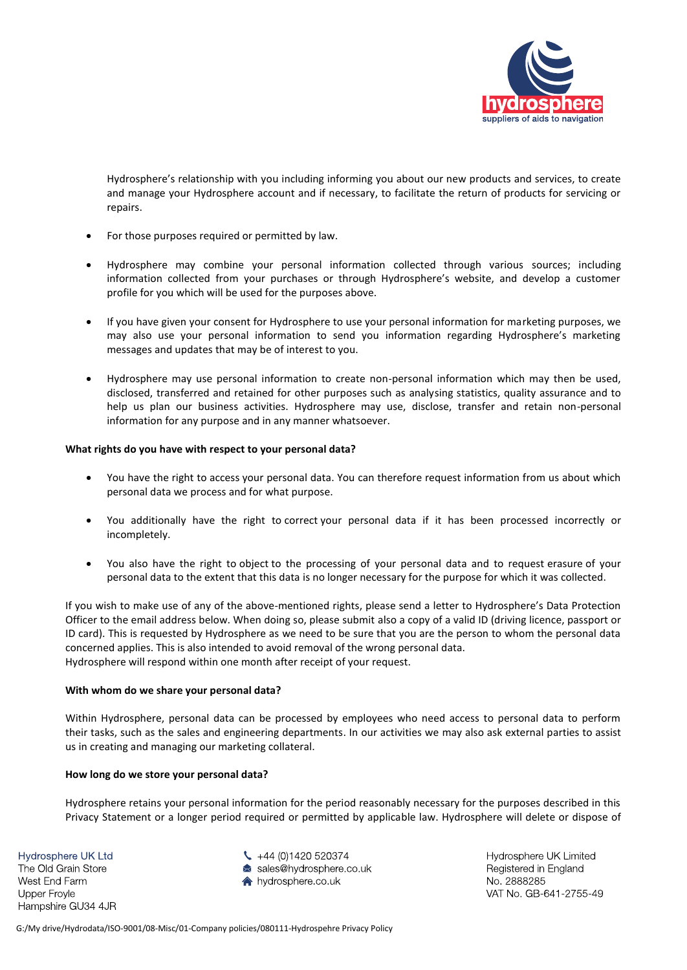

Hydrosphere's relationship with you including informing you about our new products and services, to create and manage your Hydrosphere account and if necessary, to facilitate the return of products for servicing or repairs.

- For those purposes required or permitted by law.
- Hydrosphere may combine your personal information collected through various sources; including information collected from your purchases or through Hydrosphere's website, and develop a customer profile for you which will be used for the purposes above.
- If you have given your consent for Hydrosphere to use your personal information for marketing purposes, we may also use your personal information to send you information regarding Hydrosphere's marketing messages and updates that may be of interest to you.
- Hydrosphere may use personal information to create non-personal information which may then be used, disclosed, transferred and retained for other purposes such as analysing statistics, quality assurance and to help us plan our business activities. Hydrosphere may use, disclose, transfer and retain non-personal information for any purpose and in any manner whatsoever.

# **What rights do you have with respect to your personal data?**

- You have the right to access your personal data. You can therefore request information from us about which personal data we process and for what purpose.
- You additionally have the right to correct your personal data if it has been processed incorrectly or incompletely.
- You also have the right to object to the processing of your personal data and to request erasure of your personal data to the extent that this data is no longer necessary for the purpose for which it was collected.

If you wish to make use of any of the above-mentioned rights, please send a letter to Hydrosphere's Data Protection Officer to the email address below. When doing so, please submit also a copy of a valid ID (driving licence, passport or ID card). This is requested by Hydrosphere as we need to be sure that you are the person to whom the personal data concerned applies. This is also intended to avoid removal of the wrong personal data. Hydrosphere will respond within one month after receipt of your request.

#### **With whom do we share your personal data?**

Within Hydrosphere, personal data can be processed by employees who need access to personal data to perform their tasks, such as the sales and engineering departments. In our activities we may also ask external parties to assist us in creating and managing our marketing collateral.

#### **How long do we store your personal data?**

Hydrosphere retains your personal information for the period reasonably necessary for the purposes described in this Privacy Statement or a longer period required or permitted by applicable law. Hydrosphere will delete or dispose of

Hydrosphere UK Ltd

The Old Grain Store West End Farm Upper Froyle Hampshire GU34 4JR  $\leftarrow +44(0)1420520374$ sales@hydrosphere.co.uk ★ hydrosphere co uk

Hydrosphere UK Limited Registered in England No. 2888285 VAT No. GB-641-2755-49